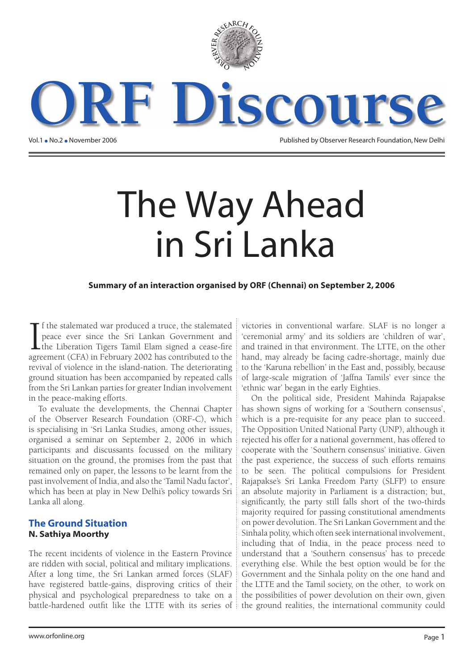

Vol.1 . No.2 . November 2006<br>Vol.1 . No.2 . November 2006 Published by Observer Research Foundation, New Delhi

# The Way Ahead in Sri Lanka

#### **Summary of an interaction organised by ORF (Chennai) on September 2, 2006**

 $\prod_{\text{over}}$ f the stalemated war produced a truce, the stalemated peace ever since the Sri Lankan Government and the Liberation Tigers Tamil Elam signed a cease-fire agreement (CFA) in February 2002 has contributed to the revival of violence in the island-nation. The deteriorating ground situation has been accompanied by repeated calls from the Sri Lankan parties for greater Indian involvement in the peace-making efforts.

To evaluate the developments, the Chennai Chapter of the Observer Research Foundation (ORF-C), which is specialising in 'Sri Lanka Studies, among other issues, organised a seminar on September 2, 2006 in which participants and discussants focussed on the military situation on the ground, the promises from the past that remained only on paper, the lessons to be learnt from the past involvement of India, and also the 'Tamil Nadu factor', which has been at play in New Delhi's policy towards Sri Lanka all along.

#### **The Ground Situation** N. Sathiya Moorthy

The recent incidents of violence in the Eastern Province are ridden with social, political and military implications. After a long time, the Sri Lankan armed forces (SLAF) have registered battle-gains, disproving critics of their physical and psychological preparedness to take on a battle-hardened outfit like the LTTE with its series of  $\frac{1}{2}$ 

victories in conventional warfare. SLAF is no longer a 'ceremonial army' and its soldiers are 'children of war', and trained in that environment. The LTTE, on the other hand, may already be facing cadre-shortage, mainly due to the 'Karuna rebellion' in the East and, possibly, because of large-scale migration of 'Jaffna Tamils' ever since the 'ethnic war' began in the early Eighties.

On the political side, President Mahinda Rajapakse has shown signs of working for a 'Southern consensus', which is a pre-requisite for any peace plan to succeed. The Opposition United National Party (UNP), although it rejected his offer for a national government, has offered to cooperate with the `Southern consensus' initiative. Given the past experience, the success of such efforts remains to be seen. The political compulsions for President Rajapakse's Sri Lanka Freedom Party (SLFP) to ensure an absolute majority in Parliament is a distraction; but, significantly, the party still falls short of the two-thirds majority required for passing constitutional amendments on power devolution. The Sri Lankan Government and the Sinhala polity, which often seek international involvement, including that of India, in the peace process need to understand that a 'Southern consensus' has to precede everything else. While the best option would be for the Government and the Sinhala polity on the one hand and the LTTE and the Tamil society, on the other, to work on the possibilities of power devolution on their own, given the ground realities, the international community could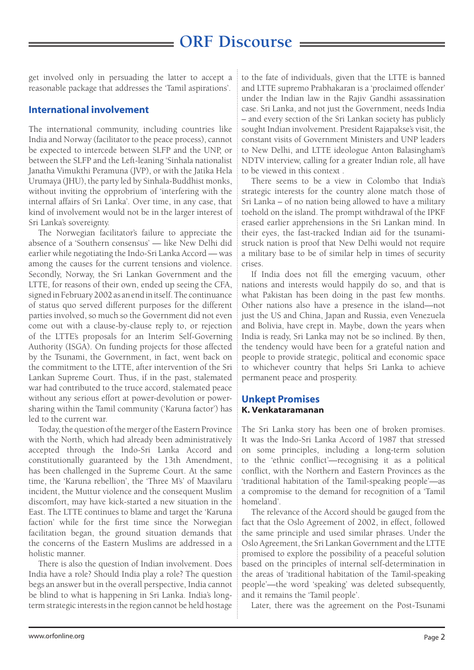get involved only in persuading the latter to accept a reasonable package that addresses the 'Tamil aspirations'.

#### **International involvement**

The international community, including countries like India and Norway (facilitator to the peace process), cannot be expected to intercede between SLFP and the UNP, or between the SLFP and the Left-leaning 'Sinhala nationalist Janatha Vimukthi Peramuna (JVP), or with the Jatika Hela Urumaya (JHU), the party led by Sinhala-Buddhist monks, without inviting the opprobrium of 'interfering with the internal affairs of Sri Lanka'. Over time, in any case, that kind of involvement would not be in the larger interest of Sri Lanka's sovereignty.

The Norwegian facilitator's failure to appreciate the absence of a 'Southern consensus' — like New Delhi did earlier while negotiating the Indo-Sri Lanka Accord — was among the causes for the current tensions and violence. Secondly, Norway, the Sri Lankan Government and the LTTE, for reasons of their own, ended up seeing the CFA, signed in February 2002 as an end in itself. The continuance of status quo served different purposes for the different parties involved, so much so the Government did not even come out with a clause-by-clause reply to, or rejection of the LTTE's proposals for an Interim Self-Governing Authority (ISGA). On funding projects for those affected by the Tsunami, the Government, in fact, went back on the commitment to the LTTE, after intervention of the Sri Lankan Supreme Court. Thus, if in the past, stalemated war had contributed to the truce accord, stalemated peace without any serious effort at power-devolution or powersharing within the Tamil community ('Karuna factor') has led to the current war.

Today, the question of the merger of the Eastern Province with the North, which had already been administratively accepted through the Indo-Sri Lanka Accord and constitutionally guaranteed by the 13th Amendment, has been challenged in the Supreme Court. At the same time, the 'Karuna rebellion', the 'Three M's' of Maavilaru incident, the Muttur violence and the consequent Muslim discomfort, may have kick-started a new situation in the East. The LTTE continues to blame and target the 'Karuna faction' while for the first time since the Norwegian facilitation began, the ground situation demands that the concerns of the Eastern Muslims are addressed in a holistic manner.

There is also the question of Indian involvement. Does India have a role? Should India play a role? The question begs an answer but in the overall perspective, India cannot be blind to what is happening in Sri Lanka. India's longterm strategic interests in the region cannot be held hostage to the fate of individuals, given that the LTTE is banned and LTTE supremo Prabhakaran is a 'proclaimed offender' under the Indian law in the Rajiv Gandhi assassination case. Sri Lanka, and not just the Government, needs India – and every section of the Sri Lankan society has publicly sought Indian involvement. President Rajapakse's visit, the constant visits of Government Ministers and UNP leaders to New Delhi, and LTTE ideologue Anton Balasingham's NDTV interview, calling for a greater Indian role, all have to be viewed in this context .

There seems to be a view in Colombo that India's strategic interests for the country alone match those of Sri Lanka – of no nation being allowed to have a military toehold on the island. The prompt withdrawal of the IPKF erased earlier apprehensions in the Sri Lankan mind. In their eyes, the fast-tracked Indian aid for the tsunamistruck nation is proof that New Delhi would not require a military base to be of similar help in times of security crises.

If India does not fill the emerging vacuum, other nations and interests would happily do so, and that is what Pakistan has been doing in the past few months. Other nations also have a presence in the island—not just the US and China, Japan and Russia, even Venezuela and Bolivia, have crept in. Maybe, down the years when India is ready, Sri Lanka may not be so inclined. By then, the tendency would have been for a grateful nation and people to provide strategic, political and economic space to whichever country that helps Sri Lanka to achieve permanent peace and prosperity.

#### **Unkept Promises** K. Venkataramanan

The Sri Lanka story has been one of broken promises. It was the Indo-Sri Lanka Accord of 1987 that stressed on some principles, including a long-term solution to the 'ethnic conflict'—recognising it as a political conflict, with the Northern and Eastern Provinces as the 'traditional habitation of the Tamil-speaking people'—as a compromise to the demand for recognition of a 'Tamil homeland'.

The relevance of the Accord should be gauged from the fact that the Oslo Agreement of 2002, in effect, followed the same principle and used similar phrases. Under the Oslo Agreement, the Sri Lankan Government and the LTTE promised to explore the possibility of a peaceful solution based on the principles of internal self-determination in the areas of 'traditional habitation of the Tamil-speaking people'—the word 'speaking' was deleted subsequently, and it remains the 'Tamil people'.

Later, there was the agreement on the Post-Tsunami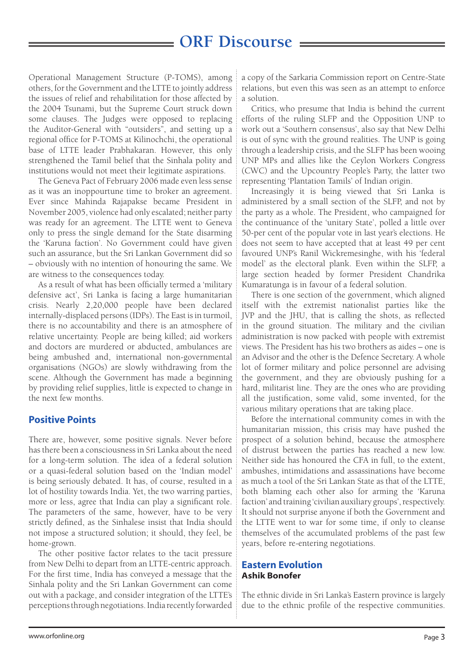Operational Management Structure (P-TOMS), among others, for the Government and the LTTE to jointly address the issues of relief and rehabilitation for those affected by the 2004 Tsunami, but the Supreme Court struck down some clauses. The Judges were opposed to replacing the Auditor-General with "outsiders", and setting up a regional office for P-TOMS at Kilinochchi, the operational base of LTTE leader Prabhakaran. However, this only strengthened the Tamil belief that the Sinhala polity and institutions would not meet their legitimate aspirations.

The Geneva Pact of February 2006 made even less sense as it was an inoppourtune time to broker an agreement. Ever since Mahinda Rajapakse became President in November 2005, violence had only escalated; neither party was ready for an agreement. The LTTE went to Geneva only to press the single demand for the State disarming the 'Karuna faction'. No Government could have given such an assurance, but the Sri Lankan Government did so – obviously with no intention of honouring the same. We are witness to the consequences today.

As a result of what has been officially termed a 'military defensive act', Sri Lanka is facing a large humanitarian crisis. Nearly 2,20,000 people have been declared internally-displaced persons (IDPs). The East is in turmoil, there is no accountability and there is an atmosphere of relative uncertainty. People are being killed; aid workers and doctors are murdered or abducted, ambulances are being ambushed and, international non-governmental organisations (NGOs) are slowly withdrawing from the scene. Although the Government has made a beginning by providing relief supplies, little is expected to change in the next few months.

#### **Positive Points**

There are, however, some positive signals. Never before has there been a consciousness in Sri Lanka about the need for a long-term solution. The idea of a federal solution or a quasi-federal solution based on the 'Indian model' is being seriously debated. It has, of course, resulted in a lot of hostility towards India. Yet, the two warring parties, more or less, agree that India can play a significant role. The parameters of the same, however, have to be very strictly defined, as the Sinhalese insist that India should not impose a structured solution; it should, they feel, be home-grown.

The other positive factor relates to the tacit pressure from New Delhi to depart from an LTTE-centric approach. For the first time, India has conveyed a message that the Sinhala polity and the Sri Lankan Government can come out with a package, and consider integration of the LTTE's perceptions through negotiations. India recently forwarded

a copy of the Sarkaria Commission report on Centre-State relations, but even this was seen as an attempt to enforce a solution.

Critics, who presume that India is behind the current efforts of the ruling SLFP and the Opposition UNP to work out a 'Southern consensus', also say that New Delhi is out of sync with the ground realities. The UNP is going through a leadership crisis, and the SLFP has been wooing UNP MPs and allies like the Ceylon Workers Congress (CWC) and the Upcountry People's Party, the latter two representing 'Plantation Tamils' of Indian origin.

Increasingly it is being viewed that Sri Lanka is administered by a small section of the SLFP, and not by the party as a whole. The President, who campaigned for the continuance of the 'unitary State', polled a little over 50-per cent of the popular vote in last year's elections. He does not seem to have accepted that at least 49 per cent favoured UNP's Ranil Wickremesinghe, with his 'federal model' as the electoral plank. Even within the SLFP, a large section headed by former President Chandrika Kumaratunga is in favour of a federal solution.

There is one section of the government, which aligned itself with the extremist nationalist parties like the JVP and the JHU, that is calling the shots, as reflected in the ground situation. The military and the civilian administration is now packed with people with extremist views. The President has his two brothers as aides – one is an Advisor and the other is the Defence Secretary. A whole lot of former military and police personnel are advising the government, and they are obviously pushing for a hard, militarist line. They are the ones who are providing all the justification, some valid, some invented, for the various military operations that are taking place.

Before the international community comes in with the humanitarian mission, this crisis may have pushed the prospect of a solution behind, because the atmosphere of distrust between the parties has reached a new low. Neither side has honoured the CFA in full, to the extent, ambushes, intimidations and assassinations have become as much a tool of the Sri Lankan State as that of the LTTE, both blaming each other also for arming the 'Karuna faction' and training 'civilian auxiliary groups', respectively. It should not surprise anyone if both the Government and the LTTE went to war for some time, if only to cleanse themselves of the accumulated problems of the past few years, before re-entering negotiations.

#### **Eastern Evolution** Ashik Bonofer

The ethnic divide in Sri Lanka's Eastern province is largely due to the ethnic profile of the respective communities.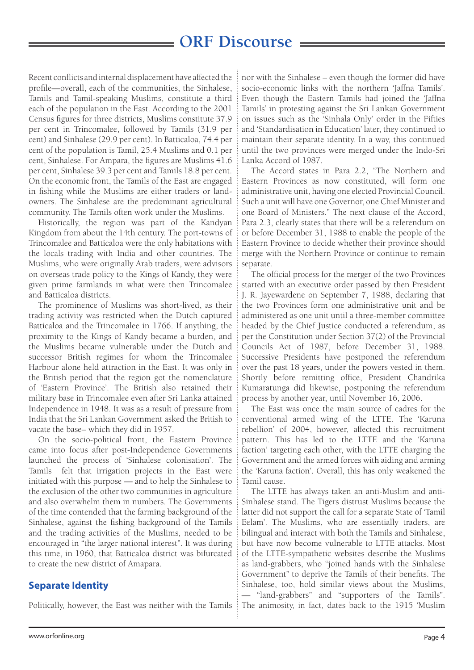Recent conflicts and internal displacement have affected the profile—overall, each of the communities, the Sinhalese, Tamils and Tamil-speaking Muslims, constitute a third each of the population in the East. According to the 2001 Census figures for three districts, Muslims constitute 37.9 per cent in Trincomalee, followed by Tamils (31.9 per cent) and Sinhalese (29.9 per cent). In Batticaloa, 74.4 per cent of the population is Tamil, 25.4 Muslims and 0.1 per cent, Sinhalese. For Ampara, the figures are Muslims 41.6 per cent, Sinhalese 39.3 per cent and Tamils 18.8 per cent. On the economic front, the Tamils of the East are engaged in fishing while the Muslims are either traders or landowners. The Sinhalese are the predominant agricultural community. The Tamils often work under the Muslims.

Historically, the region was part of the Kandyan Kingdom from about the 14th century. The port-towns of Trincomalee and Batticaloa were the only habitations with the locals trading with India and other countries. The Muslims, who were originally Arab traders, were advisors on overseas trade policy to the Kings of Kandy, they were given prime farmlands in what were then Trincomalee and Batticaloa districts.

The prominence of Muslims was short-lived, as their trading activity was restricted when the Dutch captured Batticaloa and the Trincomalee in 1766. If anything, the proximity to the Kings of Kandy became a burden, and the Muslims became vulnerable under the Dutch and successor British regimes for whom the Trincomalee Harbour alone held attraction in the East. It was only in the British period that the region got the nomenclature of 'Eastern Province'. The British also retained their military base in Trincomalee even after Sri Lanka attained Independence in 1948. It was as a result of pressure from India that the Sri Lankan Government asked the British to vacate the base– which they did in 1957.

On the socio-political front, the Eastern Province came into focus after post-Independence Governments launched the process of 'Sinhalese colonisation'. The Tamils felt that irrigation projects in the East were initiated with this purpose — and to help the Sinhalese to the exclusion of the other two communities in agriculture and also overwhelm them in numbers. The Governments of the time contended that the farming background of the Sinhalese, against the fishing background of the Tamils and the trading activities of the Muslims, needed to be encouraged in "the larger national interest". It was during this time, in 1960, that Batticaloa district was bifurcated to create the new district of Amapara.

#### **Separate Identity**

Politically, however, the East was neither with the Tamils

nor with the Sinhalese – even though the former did have socio-economic links with the northern 'Jaffna Tamils'. Even though the Eastern Tamils had joined the 'Jaffna Tamils' in protesting against the Sri Lankan Government on issues such as the 'Sinhala Only' order in the Fifties and 'Standardisation in Education' later, they continued to maintain their separate identity. In a way, this continued until the two provinces were merged under the Indo-Sri Lanka Accord of 1987.

The Accord states in Para 2.2, "The Northern and Eastern Provinces as now constituted, will form one administrative unit, having one elected Provincial Council. Such a unit will have one Governor, one Chief Minister and one Board of Ministers." The next clause of the Accord, Para 2.3, clearly states that there will be a referendum on or before December 31, 1988 to enable the people of the Eastern Province to decide whether their province should merge with the Northern Province or continue to remain separate.

The official process for the merger of the two Provinces started with an executive order passed by then President J. R. Jayewardene on September 7, 1988, declaring that the two Provinces form one administrative unit and be administered as one unit until a three-member committee headed by the Chief Justice conducted a referendum, as per the Constitution under Section 37(2) of the Provincial Councils Act of 1987, before December 31, 1988. Successive Presidents have postponed the referendum over the past 18 years, under the powers vested in them. Shortly before remitting office, President Chandrika Kumaratunga did likewise, postponing the referendum process by another year, until November 16, 2006.

The East was once the main source of cadres for the conventional armed wing of the LTTE. The 'Karuna rebellion' of 2004, however, affected this recruitment pattern. This has led to the LTTE and the 'Karuna faction' targeting each other, with the LTTE charging the Government and the armed forces with aiding and arming the 'Karuna faction'. Overall, this has only weakened the Tamil cause.

The LTTE has always taken an anti-Muslim and anti-Sinhalese stand. The Tigers distrust Muslims because the latter did not support the call for a separate State of 'Tamil Eelam'. The Muslims, who are essentially traders, are bilingual and interact with both the Tamils and Sinhalese, but have now become vulnerable to LTTE attacks. Most of the LTTE-sympathetic websites describe the Muslims as land-grabbers, who "joined hands with the Sinhalese Government" to deprive the Tamils of their benefits. The Sinhalese, too, hold similar views about the Muslims, — "land-grabbers" and "supporters of the Tamils". The animosity, in fact, dates back to the 1915 'Muslim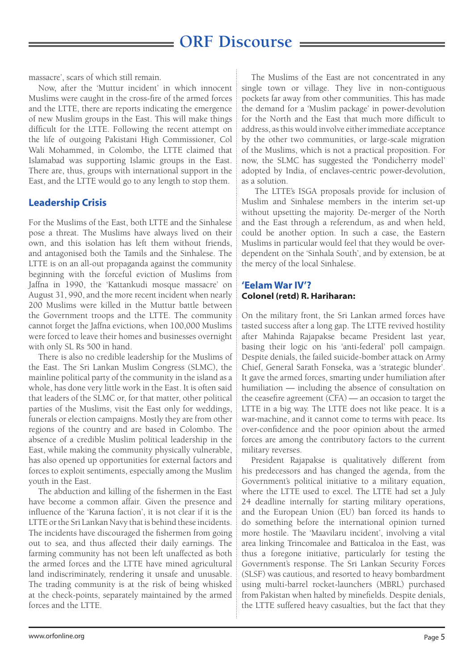massacre', scars of which still remain.

Now, after the 'Muttur incident' in which innocent Muslims were caught in the cross-fire of the armed forces and the LTTE, there are reports indicating the emergence of new Muslim groups in the East. This will make things difficult for the LTTE. Following the recent attempt on the life of outgoing Pakistani High Commissioner, Col Wali Mohammed, in Colombo, the LTTE claimed that Islamabad was supporting Islamic groups in the East. There are, thus, groups with international support in the East, and the LTTE would go to any length to stop them.

#### **Leadership Crisis**

For the Muslims of the East, both LTTE and the Sinhalese pose a threat. The Muslims have always lived on their own, and this isolation has left them without friends, and antagonised both the Tamils and the Sinhalese. The LTTE is on an all-out propaganda against the community beginning with the forceful eviction of Muslims from Jaffna in 1990, the 'Kattankudi mosque massacre' on August 31, 990, and the more recent incident when nearly 200 Muslims were killed in the Muttur battle between the Government troops and the LTTE. The community cannot forget the Jaffna evictions, when 100,000 Muslims were forced to leave their homes and businesses overnight with only SL Rs 500 in hand.

There is also no credible leadership for the Muslims of the East. The Sri Lankan Muslim Congress (SLMC), the mainline political party of the community in the island as a whole, has done very little work in the East. It is often said that leaders of the SLMC or, for that matter, other political parties of the Muslims, visit the East only for weddings, funerals or election campaigns. Mostly they are from other regions of the country and are based in Colombo. The absence of a credible Muslim political leadership in the East, while making the community physically vulnerable, has also opened up opportunities for external factors and forces to exploit sentiments, especially among the Muslim youth in the East.

The abduction and killing of the fishermen in the East have become a common affair. Given the presence and influence of the 'Karuna faction', it is not clear if it is the LTTE or the Sri Lankan Navy that is behind these incidents. The incidents have discouraged the fishermen from going out to sea, and thus affected their daily earnings. The farming community has not been left unaffected as both the armed forces and the LTTE have mined agricultural land indiscriminately, rendering it unsafe and unusable. The trading community is at the risk of being whisked at the check-points, separately maintained by the armed forces and the LTTE.

The Muslims of the East are not concentrated in any single town or village. They live in non-contiguous pockets far away from other communities. This has made the demand for a 'Muslim package' in power-devolution for the North and the East that much more difficult to address, as this would involve either immediate acceptance by the other two communities, or large-scale migration of the Muslims, which is not a practical proposition. For now, the SLMC has suggested the 'Pondicherry model' adopted by India, of enclaves-centric power-devolution, as a solution.

 The LTTE's ISGA proposals provide for inclusion of Muslim and Sinhalese members in the interim set-up without upsetting the majority. De-merger of the North and the East through a referendum, as and when held, could be another option. In such a case, the Eastern Muslims in particular would feel that they would be overdependent on the 'Sinhala South', and by extension, be at the mercy of the local Sinhalese.

#### **'Eelam War IV'?** Colonel (retd) R. Hariharan:

On the military front, the Sri Lankan armed forces have tasted success after a long gap. The LTTE revived hostility after Mahinda Rajapakse became President last year, basing their logic on his 'anti-federal' poll campaign. Despite denials, the failed suicide-bomber attack on Army Chief, General Sarath Fonseka, was a 'strategic blunder'. It gave the armed forces, smarting under humiliation after humiliation — including the absence of consultation on the ceasefire agreement (CFA) — an occasion to target the LTTE in a big way. The LTTE does not like peace. It is a war-machine, and it cannot come to terms with peace. Its over-confidence and the poor opinion about the armed forces are among the contributory factors to the current military reverses.

President Rajapakse is qualitatively different from his predecessors and has changed the agenda, from the Government's political initiative to a military equation, where the LTTE used to excel. The LTTE had set a July 24 deadline internally for starting military operations, and the European Union (EU) ban forced its hands to do something before the international opinion turned more hostile. The 'Maavilaru incident', involving a vital area linking Trincomalee and Batticaloa in the East, was thus a foregone initiative, particularly for testing the Government's response. The Sri Lankan Security Forces (SLSF) was cautious, and resorted to heavy bombardment using multi-barrel rocket-launchers (MBRL) purchased from Pakistan when halted by minefields. Despite denials, the LTTE suffered heavy casualties, but the fact that they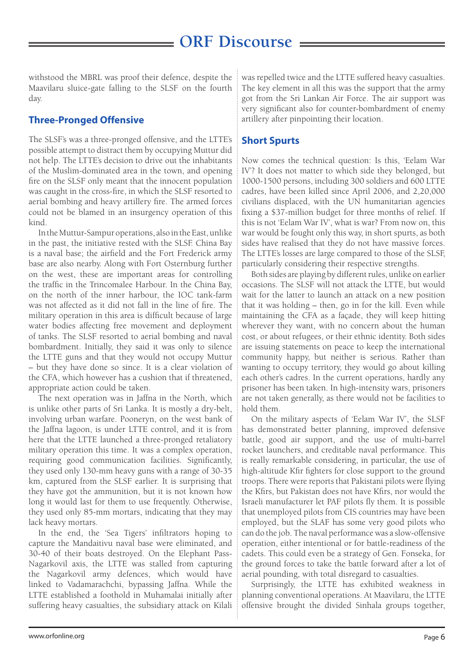withstood the MBRL was proof their defence, despite the Maavilaru sluice-gate falling to the SLSF on the fourth day.

### **Three-Pronged Offensive**

The SLSF's was a three-pronged offensive, and the LTTE's possible attempt to distract them by occupying Muttur did not help. The LTTE's decision to drive out the inhabitants of the Muslim-dominated area in the town, and opening fire on the SLSF only meant that the innocent population was caught in the cross-fire, in which the SLSF resorted to aerial bombing and heavy artillery fire. The armed forces could not be blamed in an insurgency operation of this kind.

In the Muttur-Sampur operations, also in the East, unlike in the past, the initiative rested with the SLSF. China Bay is a naval base; the airfield and the Fort Frederick army base are also nearby. Along with Fort Osternburg further on the west, these are important areas for controlling the traffic in the Trincomalee Harbour. In the China Bay, on the north of the inner harbour, the IOC tank-farm was not affected as it did not fall in the line of fire. The military operation in this area is difficult because of large water bodies affecting free movement and deployment of tanks. The SLSF resorted to aerial bombing and naval bombardment. Initially, they said it was only to silence the LTTE guns and that they would not occupy Muttur – but they have done so since. It is a clear violation of the CFA, which however has a cushion that if threatened, appropriate action could be taken.

The next operation was in Jaffna in the North, which is unlike other parts of Sri Lanka. It is mostly a dry-belt, involving urban warfare. Pooneryn, on the west bank of the Jaffna lagoon, is under LTTE control, and it is from here that the LTTE launched a three-pronged retaliatory military operation this time. It was a complex operation, requiring good communication facilities. Significantly, they used only 130-mm heavy guns with a range of 30-35 km, captured from the SLSF earlier. It is surprising that they have got the ammunition, but it is not known how long it would last for them to use frequently. Otherwise, they used only 85-mm mortars, indicating that they may lack heavy mortars.

In the end, the 'Sea Tigers' infiltrators hoping to capture the Mandaitivu naval base were eliminated, and 30-40 of their boats destroyed. On the Elephant Pass-Nagarkovil axis, the LTTE was stalled from capturing the Nagarkovil army defences, which would have linked to Vadamarachchi, bypassing Jaffna. While the LTTE established a foothold in Muhamalai initially after suffering heavy casualties, the subsidiary attack on Kilali

was repelled twice and the LTTE suffered heavy casualties. The key element in all this was the support that the army got from the Sri Lankan Air Force. The air support was very significant also for counter-bombardment of enemy artillery after pinpointing their location.

#### **Short Spurts**

Now comes the technical question: Is this, 'Eelam War IV'? It does not matter to which side they belonged, but 1000-1500 persons, including 300 soldiers and 600 LTTE cadres, have been killed since April 2006, and 2,20,000 civilians displaced, with the UN humanitarian agencies fixing a \$37-million budget for three months of relief. If this is not 'Eelam War IV', what is war? From now on, this war would be fought only this way, in short spurts, as both sides have realised that they do not have massive forces. The LTTE's losses are large compared to those of the SLSF, particularly considering their respective strengths.

Both sides are playing by different rules, unlike on earlier occasions. The SLSF will not attack the LTTE, but would wait for the latter to launch an attack on a new position that it was holding – then, go in for the kill. Even while maintaining the CFA as a façade, they will keep hitting wherever they want, with no concern about the human cost, or about refugees, or their ethnic identity. Both sides are issuing statements on peace to keep the international community happy, but neither is serious. Rather than wanting to occupy territory, they would go about killing each other's cadres. In the current operations, hardly any prisoner has been taken. In high-intensity wars, prisoners are not taken generally, as there would not be facilities to hold them.

On the military aspects of 'Eelam War IV', the SLSF has demonstrated better planning, improved defensive battle, good air support, and the use of multi-barrel rocket launchers, and creditable naval performance. This is really remarkable considering, in particular, the use of high-altitude Kfir fighters for close support to the ground troops. There were reports that Pakistani pilots were flying the Kfirs, but Pakistan does not have Kfirs, nor would the Israeli manufacturer let PAF pilots fly them. It is possible that unemployed pilots from CIS countries may have been employed, but the SLAF has some very good pilots who can do the job. The naval performance was a slow-offensive operation, either intentional or for battle-readiness of the cadets. This could even be a strategy of Gen. Fonseka, for the ground forces to take the battle forward after a lot of aerial pounding, with total disregard to casualties.

Surprisingly, the LTTE has exhibited weakness in planning conventional operations. At Maavilaru, the LTTE offensive brought the divided Sinhala groups together,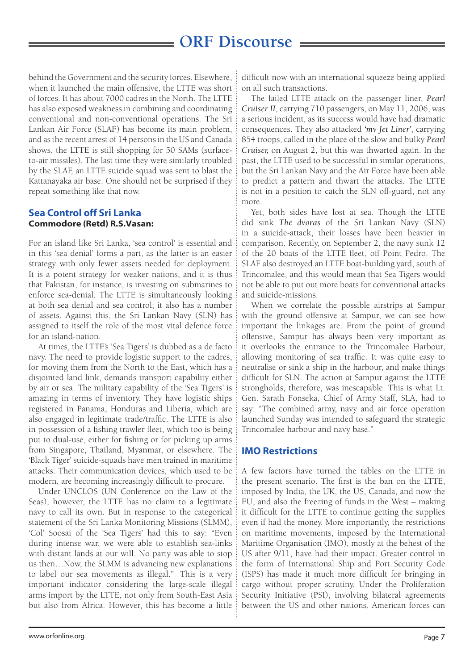behind the Government and the security forces. Elsewhere, when it launched the main offensive, the LTTE was short of forces. It has about 7000 cadres in the North. The LTTE has also exposed weakness in combining and coordinating conventional and non-conventional operations. The Sri Lankan Air Force (SLAF) has become its main problem, and as the recent arrest of 14 persons in the US and Canada shows, the LTTE is still shopping for 50 SAMs (surfaceto-air missiles). The last time they were similarly troubled by the SLAF, an LTTE suicide squad was sent to blast the Kattanayaka air base. One should not be surprised if they repeat something like that now.

#### **Sea Control off Sri Lanka** Commodore (Retd) R.S.Vasan:

For an island like Sri Lanka, 'sea control' is essential and in this 'sea denial' forms a part, as the latter is an easier strategy with only fewer assets needed for deployment. It is a potent strategy for weaker nations, and it is thus that Pakistan, for instance, is investing on submarines to enforce sea-denial. The LTTE is simultaneously looking at both sea denial and sea control; it also has a number of assets. Against this, the Sri Lankan Navy (SLN) has assigned to itself the role of the most vital defence force for an island-nation.

At times, the LTTE's 'Sea Tigers' is dubbed as a de facto navy. The need to provide logistic support to the cadres, for moving them from the North to the East, which has a disjointed land link, demands transport capability either by air or sea. The military capability of the 'Sea Tigers' is amazing in terms of inventory. They have logistic ships registered in Panama, Honduras and Liberia, which are also engaged in legitimate trade/traffic. The LTTE is also in possession of a fishing trawler fleet, which too is being put to dual-use, either for fishing or for picking up arms from Singapore, Thailand, Myanmar, or elsewhere. The 'Black Tiger' suicide-squads have men trained in maritime attacks. Their communication devices, which used to be modern, are becoming increasingly difficult to procure.

Under UNCLOS (UN Conference on the Law of the Seas), however, the LTTE has no claim to a legitimate navy to call its own. But in response to the categorical statement of the Sri Lanka Monitoring Missions (SLMM), 'Col' Soosai of the 'Sea Tigers' had this to say: "Even during intense war, we were able to establish sea-links with distant lands at our will. No party was able to stop us then…Now, the SLMM is advancing new explanations to label our sea movements as illegal." This is a very important indicator considering the large-scale illegal arms import by the LTTE, not only from South-East Asia but also from Africa. However, this has become a little

difficult now with an international squeeze being applied on all such transactions.

The failed LTTE attack on the passenger liner, *Pearl Cruiser II*, carrying 710 passengers, on May 11, 2006, was a serious incident, as its success would have had dramatic consequences. They also attacked *'mv Jet Liner'*, carrying 854 troops, called in the place of the slow and bulky *Pearl Cruiser,* on August 2, but this was thwarted again. In the past, the LTTE used to be successful in similar operations, but the Sri Lankan Navy and the Air Force have been able to predict a pattern and thwart the attacks. The LTTE is not in a position to catch the SLN off-guard, not any more.

Yet, both sides have lost at sea. Though the LTTE did sink *The dvoras* of the Sri Lankan Navy (SLN) in a suicide-attack, their losses have been heavier in comparison. Recently, on September 2, the navy sunk 12 of the 20 boats of the LTTE fleet, off Point Pedro. The SLAF also destroyed an LTTE boat-building yard, south of Trincomalee, and this would mean that Sea Tigers would not be able to put out more boats for conventional attacks and suicide-missions.

When we correlate the possible airstrips at Sampur with the ground offensive at Sampur, we can see how important the linkages are. From the point of ground offensive, Sampur has always been very important as it overlooks the entrance to the Trincomalee Harbour, allowing monitoring of sea traffic. It was quite easy to neutralise or sink a ship in the harbour, and make things difficult for SLN. The action at Sampur against the LTTE strongholds, therefore, was inescapable. This is what Lt. Gen. Sarath Fonseka, Chief of Army Staff, SLA, had to say: "The combined army, navy and air force operation launched Sunday was intended to safeguard the strategic Trincomalee harbour and navy base."

#### **IMO Restrictions**

A few factors have turned the tables on the LTTE in the present scenario. The first is the ban on the LTTE, imposed by India, the UK, the US, Canada, and now the EU, and also the freezing of funds in the West – making it difficult for the LTTE to continue getting the supplies even if had the money. More importantly, the restrictions on maritime movements, imposed by the International Maritime Organisation (IMO), mostly at the behest of the US after 9/11, have had their impact. Greater control in the form of International Ship and Port Security Code (ISPS) has made it much more difficult for bringing in cargo without proper scrutiny. Under the Proliferation Security Initiative (PSI), involving bilateral agreements between the US and other nations, American forces can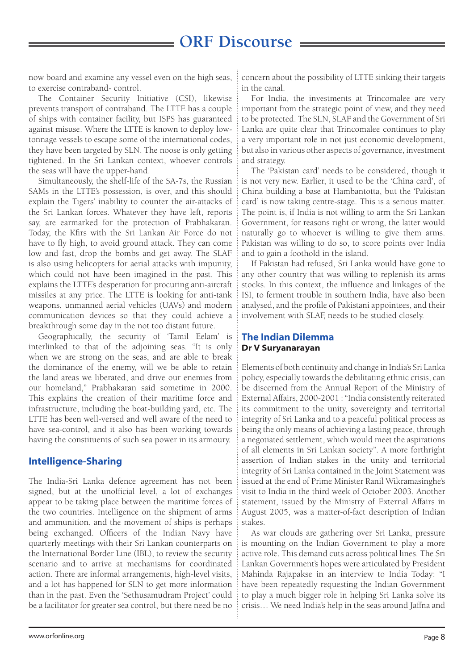now board and examine any vessel even on the high seas, to exercise contraband- control.

The Container Security Initiative (CSI), likewise prevents transport of contraband. The LTTE has a couple of ships with container facility, but ISPS has guaranteed against misuse. Where the LTTE is known to deploy lowtonnage vessels to escape some of the international codes, they have been targeted by SLN. The noose is only getting tightened. In the Sri Lankan context, whoever controls the seas will have the upper-hand.

Simultaneously, the shelf-life of the SA-7s, the Russian SAMs in the LTTE's possession, is over, and this should explain the Tigers' inability to counter the air-attacks of the Sri Lankan forces. Whatever they have left, reports say, are earmarked for the protection of Prabhakaran. Today, the Kfirs with the Sri Lankan Air Force do not have to fly high, to avoid ground attack. They can come low and fast, drop the bombs and get away. The SLAF is also using helicopters for aerial attacks with impunity, which could not have been imagined in the past. This explains the LTTE's desperation for procuring anti-aircraft missiles at any price. The LTTE is looking for anti-tank weapons, unmanned aerial vehicles (UAVs) and modern communication devices so that they could achieve a breakthrough some day in the not too distant future.

Geographically, the security of 'Tamil Eelam' is interlinked to that of the adjoining seas. "It is only when we are strong on the seas, and are able to break the dominance of the enemy, will we be able to retain the land areas we liberated, and drive our enemies from our homeland," Prabhakaran said sometime in 2000. This explains the creation of their maritime force and infrastructure, including the boat-building yard, etc. The LTTE has been well-versed and well aware of the need to have sea-control, and it also has been working towards having the constituents of such sea power in its armoury.

#### **Intelligence-Sharing**

The India-Sri Lanka defence agreement has not been signed, but at the unofficial level, a lot of exchanges appear to be taking place between the maritime forces of the two countries. Intelligence on the shipment of arms and ammunition, and the movement of ships is perhaps being exchanged. Officers of the Indian Navy have quarterly meetings with their Sri Lankan counterparts on the International Border Line (IBL), to review the security scenario and to arrive at mechanisms for coordinated action. There are informal arrangements, high-level visits, and a lot has happened for SLN to get more information than in the past. Even the 'Sethusamudram Project' could be a facilitator for greater sea control, but there need be no

concern about the possibility of LTTE sinking their targets in the canal.

For India, the investments at Trincomalee are very important from the strategic point of view, and they need to be protected. The SLN, SLAF and the Government of Sri Lanka are quite clear that Trincomalee continues to play a very important role in not just economic development, but also in various other aspects of governance, investment and strategy.

The 'Pakistan card' needs to be considered, though it is not very new. Earlier, it used to be the 'China card', of China building a base at Hambantotta, but the 'Pakistan card' is now taking centre-stage. This is a serious matter. The point is, if India is not willing to arm the Sri Lankan Government, for reasons right or wrong, the latter would naturally go to whoever is willing to give them arms. Pakistan was willing to do so, to score points over India and to gain a foothold in the island.

If Pakistan had refused, Sri Lanka would have gone to any other country that was willing to replenish its arms stocks. In this context, the influence and linkages of the ISI, to ferment trouble in southern India, have also been analysed, and the profile of Pakistani appointees, and their involvement with SLAF, needs to be studied closely.

#### **The Indian Dilemma** Dr V Suryanarayan

Elements of both continuity and change in India's Sri Lanka policy, especially towards the debilitating ethnic crisis, can be discerned from the Annual Report of the Ministry of External Affairs, 2000-2001 : "India consistently reiterated its commitment to the unity, sovereignty and territorial integrity of Sri Lanka and to a peaceful political process as being the only means of achieving a lasting peace, through a negotiated settlement, which would meet the aspirations of all elements in Sri Lankan society". A more forthright assertion of Indian stakes in the unity and territorial integrity of Sri Lanka contained in the Joint Statement was issued at the end of Prime Minister Ranil Wikramasinghe's visit to India in the third week of October 2003. Another statement, issued by the Ministry of External Affairs in August 2005, was a matter-of-fact description of Indian stakes.

As war clouds are gathering over Sri Lanka, pressure is mounting on the Indian Government to play a more active role. This demand cuts across political lines. The Sri Lankan Government's hopes were articulated by President Mahinda Rajapakse in an interview to India Today: "I have been repeatedly requesting the Indian Government to play a much bigger role in helping Sri Lanka solve its crisis… We need India's help in the seas around Jaffna and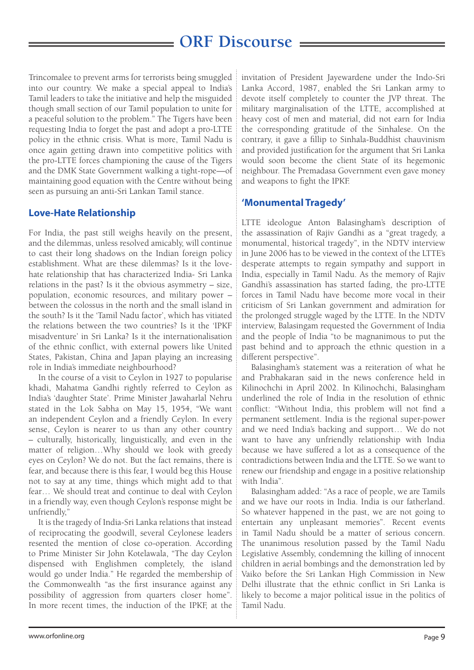Trincomalee to prevent arms for terrorists being smuggled into our country. We make a special appeal to India's Tamil leaders to take the initiative and help the misguided though small section of our Tamil population to unite for a peaceful solution to the problem." The Tigers have been requesting India to forget the past and adopt a pro-LTTE policy in the ethnic crisis. What is more, Tamil Nadu is once again getting drawn into competitive politics with the pro-LTTE forces championing the cause of the Tigers and the DMK State Government walking a tight-rope—of maintaining good equation with the Centre without being seen as pursuing an anti-Sri Lankan Tamil stance.

#### **Love-Hate Relationship**

For India, the past still weighs heavily on the present, and the dilemmas, unless resolved amicably, will continue to cast their long shadows on the Indian foreign policy establishment. What are these dilemmas? Is it the lovehate relationship that has characterized India- Sri Lanka relations in the past? Is it the obvious asymmetry – size, population, economic resources, and military power – between the colossus in the north and the small island in the south? Is it the 'Tamil Nadu factor', which has vitiated the relations between the two countries? Is it the 'IPKF misadventure' in Sri Lanka? Is it the internationalisation of the ethnic conflict, with external powers like United States, Pakistan, China and Japan playing an increasing role in India's immediate neighbourhood?

In the course of a visit to Ceylon in 1927 to popularise khadi, Mahatma Gandhi rightly referred to Ceylon as India's 'daughter State'. Prime Minister Jawaharlal Nehru stated in the Lok Sabha on May 15, 1954, "We want an independent Ceylon and a friendly Ceylon. In every sense, Ceylon is nearer to us than any other country – culturally, historically, linguistically, and even in the matter of religion…Why should we look with greedy eyes on Ceylon? We do not. But the fact remains, there is fear, and because there is this fear, I would beg this House not to say at any time, things which might add to that fear… We should treat and continue to deal with Ceylon in a friendly way, even though Ceylon's response might be unfriendly,"

It is the tragedy of India-Sri Lanka relations that instead of reciprocating the goodwill, several Ceylonese leaders resented the mention of close co-operation. According to Prime Minister Sir John Kotelawala, "The day Ceylon dispensed with Englishmen completely, the island would go under India." He regarded the membership of the Commonwealth "as the first insurance against any possibility of aggression from quarters closer home". In more recent times, the induction of the IPKF, at the

invitation of President Jayewardene under the Indo-Sri Lanka Accord, 1987, enabled the Sri Lankan army to devote itself completely to counter the JVP threat. The military marginalisation of the LTTE, accomplished at heavy cost of men and material, did not earn for India the corresponding gratitude of the Sinhalese. On the contrary, it gave a fillip to Sinhala-Buddhist chauvinism and provided justification for the argument that Sri Lanka would soon become the client State of its hegemonic neighbour. The Premadasa Government even gave money and weapons to fight the IPKF.

#### **'Monumental Tragedy'**

LTTE ideologue Anton Balasingham's description of the assassination of Rajiv Gandhi as a "great tragedy, a monumental, historical tragedy", in the NDTV interview in June 2006 has to be viewed in the context of the LTTE's desperate attempts to regain sympathy and support in India, especially in Tamil Nadu. As the memory of Rajiv Gandhi's assassination has started fading, the pro-LTTE forces in Tamil Nadu have become more vocal in their criticism of Sri Lankan government and admiration for the prolonged struggle waged by the LTTE. In the NDTV interview, Balasingam requested the Government of India and the people of India "to be magnanimous to put the past behind and to approach the ethnic question in a different perspective".

Balasingham's statement was a reiteration of what he and Prabhakaran said in the news conference held in Kilinochchi in April 2002. In Kilinochchi, Balasingham underlined the role of India in the resolution of ethnic conflict: "Without India, this problem will not find a permanent settlement. India is the regional super-power and we need India's backing and support… We do not want to have any unfriendly relationship with India because we have suffered a lot as a consequence of the contradictions between India and the LTTE. So we want to renew our friendship and engage in a positive relationship with India".

Balasingham added: "As a race of people, we are Tamils and we have our roots in India. India is our fatherland. So whatever happened in the past, we are not going to entertain any unpleasant memories". Recent events in Tamil Nadu should be a matter of serious concern. The unanimous resolution passed by the Tamil Nadu Legislative Assembly, condemning the killing of innocent children in aerial bombings and the demonstration led by Vaiko before the Sri Lankan High Commission in New Delhi illustrate that the ethnic conflict in Sri Lanka is likely to become a major political issue in the politics of Tamil Nadu.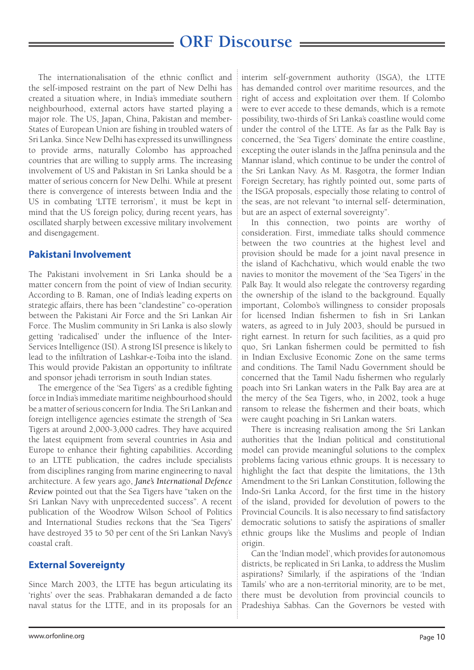The internationalisation of the ethnic conflict and the self-imposed restraint on the part of New Delhi has created a situation where, in India's immediate southern neighbourhood, external actors have started playing a major role. The US, Japan, China, Pakistan and member-States of European Union are fishing in troubled waters of Sri Lanka. Since New Delhi has expressed its unwillingness to provide arms, naturally Colombo has approached countries that are willing to supply arms. The increasing involvement of US and Pakistan in Sri Lanka should be a matter of serious concern for New Delhi. While at present there is convergence of interests between India and the US in combating 'LTTE terrorism', it must be kept in mind that the US foreign policy, during recent years, has oscillated sharply between excessive military involvement and disengagement.

#### **Pakistani Involvement**

The Pakistani involvement in Sri Lanka should be a matter concern from the point of view of Indian security. According to B. Raman, one of India's leading experts on strategic affairs, there has been "clandestine" co-operation between the Pakistani Air Force and the Sri Lankan Air Force. The Muslim community in Sri Lanka is also slowly getting 'radicalised' under the influence of the Inter-Services Intelligence (ISI). A strong ISI presence is likely to lead to the infiltration of Lashkar-e-Toiba into the island. This would provide Pakistan an opportunity to infiltrate and sponsor jehadi terrorism in south Indian states.

The emergence of the 'Sea Tigers' as a credible fighting force in India's immediate maritime neighbourhood should be a matter of serious concern for India. The Sri Lankan and foreign intelligence agencies estimate the strength of 'Sea Tigers at around 2,000-3,000 cadres. They have acquired the latest equipment from several countries in Asia and Europe to enhance their fighting capabilities. According to an LTTE publication, the cadres include specialists from disciplines ranging from marine engineering to naval architecture. A few years ago, *Jane's International Defence Review* pointed out that the Sea Tigers have "taken on the Sri Lankan Navy with unprecedented success". A recent publication of the Woodrow Wilson School of Politics and International Studies reckons that the 'Sea Tigers' have destroyed 35 to 50 per cent of the Sri Lankan Navy's coastal craft.

#### **External Sovereignty**

Since March 2003, the LTTE has begun articulating its 'rights' over the seas. Prabhakaran demanded a de facto naval status for the LTTE, and in its proposals for an interim self-government authority (ISGA), the LTTE has demanded control over maritime resources, and the right of access and exploitation over them. If Colombo were to ever accede to these demands, which is a remote possibility, two-thirds of Sri Lanka's coastline would come under the control of the LTTE. As far as the Palk Bay is concerned, the 'Sea Tigers' dominate the entire coastline, excepting the outer islands in the Jaffna peninsula and the Mannar island, which continue to be under the control of the Sri Lankan Navy. As M. Rasgotra, the former Indian Foreign Secretary, has rightly pointed out, some parts of the ISGA proposals, especially those relating to control of the seas, are not relevant "to internal self- determination, but are an aspect of external sovereignty".

In this connection, two points are worthy of consideration. First, immediate talks should commence between the two countries at the highest level and provision should be made for a joint naval presence in the island of Kachchativu, which would enable the two navies to monitor the movement of the 'Sea Tigers' in the Palk Bay. It would also relegate the controversy regarding the ownership of the island to the background. Equally important, Colombo's willingness to consider proposals for licensed Indian fishermen to fish in Sri Lankan waters, as agreed to in July 2003, should be pursued in right earnest. In return for such facilities, as a quid pro quo, Sri Lankan fishermen could be permitted to fish in Indian Exclusive Economic Zone on the same terms and conditions. The Tamil Nadu Government should be concerned that the Tamil Nadu fishermen who regularly poach into Sri Lankan waters in the Palk Bay area are at the mercy of the Sea Tigers, who, in 2002, took a huge ransom to release the fishermen and their boats, which were caught poaching in Sri Lankan waters.

There is increasing realisation among the Sri Lankan authorities that the Indian political and constitutional model can provide meaningful solutions to the complex problems facing various ethnic groups. It is necessary to highlight the fact that despite the limitations, the 13th Amendment to the Sri Lankan Constitution, following the Indo-Sri Lanka Accord, for the first time in the history of the island, provided for devolution of powers to the Provincial Councils. It is also necessary to find satisfactory democratic solutions to satisfy the aspirations of smaller ethnic groups like the Muslims and people of Indian origin.

Can the 'Indian model', which provides for autonomous districts, be replicated in Sri Lanka, to address the Muslim aspirations? Similarly, if the aspirations of the 'Indian Tamils' who are a non-territorial minority, are to be met, there must be devolution from provincial councils to Pradeshiya Sabhas. Can the Governors be vested with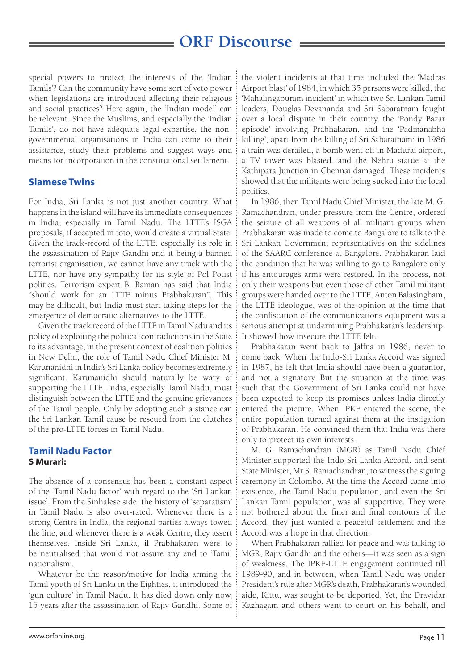special powers to protect the interests of the 'Indian Tamils'? Can the community have some sort of veto power when legislations are introduced affecting their religious and social practices? Here again, the 'Indian model' can be relevant. Since the Muslims, and especially the 'Indian Tamils', do not have adequate legal expertise, the nongovernmental organisations in India can come to their assistance, study their problems and suggest ways and means for incorporation in the constitutional settlement.

#### **Siamese Twins**

For India, Sri Lanka is not just another country. What happens in the island will have its immediate consequences in India, especially in Tamil Nadu. The LTTE's ISGA proposals, if accepted in toto, would create a virtual State. Given the track-record of the LTTE, especially its role in the assassination of Rajiv Gandhi and it being a banned terrorist organisation, we cannot have any truck with the LTTE, nor have any sympathy for its style of Pol Potist politics. Terrorism expert B. Raman has said that India "should work for an LTTE minus Prabhakaran". This may be difficult, but India must start taking steps for the emergence of democratic alternatives to the LTTE.

Given the track record of the LTTE in Tamil Nadu and its policy of exploiting the political contradictions in the State to its advantage, in the present context of coalition politics in New Delhi, the role of Tamil Nadu Chief Minister M. Karunanidhi in India's Sri Lanka policy becomes extremely significant. Karunanidhi should naturally be wary of supporting the LTTE. India, especially Tamil Nadu, must distinguish between the LTTE and the genuine grievances of the Tamil people. Only by adopting such a stance can the Sri Lankan Tamil cause be rescued from the clutches of the pro-LTTE forces in Tamil Nadu.

#### **Tamil Nadu Factor** S Murari:

The absence of a consensus has been a constant aspect of the 'Tamil Nadu factor' with regard to the 'Sri Lankan issue'. From the Sinhalese side, the history of 'separatism' in Tamil Nadu is also over-rated. Whenever there is a strong Centre in India, the regional parties always towed the line, and whenever there is a weak Centre, they assert themselves. Inside Sri Lanka, if Prabhakaran were to be neutralised that would not assure any end to 'Tamil nationalism'.

Whatever be the reason/motive for India arming the Tamil youth of Sri Lanka in the Eighties, it introduced the 'gun culture' in Tamil Nadu. It has died down only now, 15 years after the assassination of Rajiv Gandhi. Some of the violent incidents at that time included the 'Madras Airport blast' of 1984, in which 35 persons were killed, the 'Mahalingapuram incident' in which two Sri Lankan Tamil leaders, Douglas Devananda and Sri Sabaratnam fought over a local dispute in their country, the 'Pondy Bazar episode' involving Prabhakaran, and the 'Padmanabha killing', apart from the killing of Sri Sabaratnam; in 1986 a train was derailed, a bomb went off in Madurai airport, a TV tower was blasted, and the Nehru statue at the Kathipara Junction in Chennai damaged. These incidents showed that the militants were being sucked into the local politics.

In 1986, then Tamil Nadu Chief Minister, the late M. G. Ramachandran, under pressure from the Centre, ordered the seizure of all weapons of all militant groups when Prabhakaran was made to come to Bangalore to talk to the Sri Lankan Government representatives on the sidelines of the SAARC conference at Bangalore, Prabhakaran laid the condition that he was willing to go to Bangalore only if his entourage's arms were restored. In the process, not only their weapons but even those of other Tamil militant groups were handed over to the LTTE. Anton Balasingham, the LTTE ideologue, was of the opinion at the time that the confiscation of the communications equipment was a serious attempt at undermining Prabhakaran's leadership. It showed how insecure the LTTE felt.

Prabhakaran went back to Jaffna in 1986, never to come back. When the Indo-Sri Lanka Accord was signed in 1987, he felt that India should have been a guarantor, and not a signatory. But the situation at the time was such that the Government of Sri Lanka could not have been expected to keep its promises unless India directly entered the picture. When IPKF entered the scene, the entire population turned against them at the instigation of Prabhakaran. He convinced them that India was there only to protect its own interests.

M. G. Ramachandran (MGR) as Tamil Nadu Chief Minister supported the Indo-Sri Lanka Accord, and sent State Minister, Mr S. Ramachandran, to witness the signing ceremony in Colombo. At the time the Accord came into existence, the Tamil Nadu population, and even the Sri Lankan Tamil population, was all supportive. They were not bothered about the finer and final contours of the Accord, they just wanted a peaceful settlement and the Accord was a hope in that direction.

When Prabhakaran rallied for peace and was talking to MGR, Rajiv Gandhi and the others—it was seen as a sign of weakness. The IPKF-LTTE engagement continued till 1989-90, and in between, when Tamil Nadu was under President's rule after MGR's death, Prabhakaran's wounded aide, Kittu, was sought to be deported. Yet, the Dravidar Kazhagam and others went to court on his behalf, and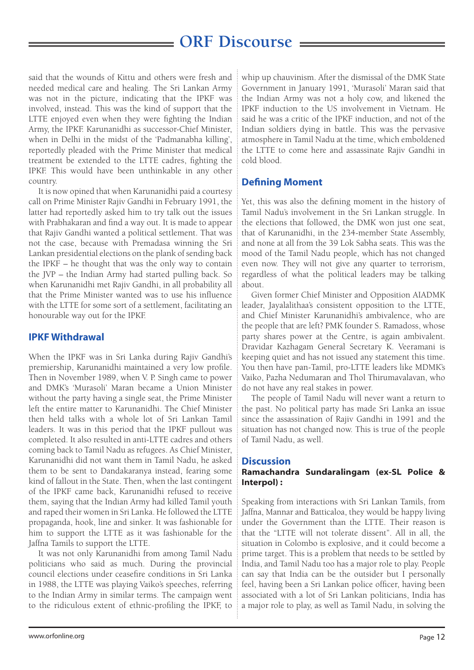said that the wounds of Kittu and others were fresh and needed medical care and healing. The Sri Lankan Army was not in the picture, indicating that the IPKF was involved, instead. This was the kind of support that the LTTE enjoyed even when they were fighting the Indian Army, the IPKF. Karunanidhi as successor-Chief Minister, when in Delhi in the midst of the 'Padmanabha killing', reportedly pleaded with the Prime Minister that medical treatment be extended to the LTTE cadres, fighting the IPKF. This would have been unthinkable in any other country.

It is now opined that when Karunanidhi paid a courtesy call on Prime Minister Rajiv Gandhi in February 1991, the latter had reportedly asked him to try talk out the issues with Prabhakaran and find a way out. It is made to appear that Rajiv Gandhi wanted a political settlement. That was not the case, because with Premadasa winning the Sri Lankan presidential elections on the plank of sending back the IPKF – he thought that was the only way to contain the JVP – the Indian Army had started pulling back. So when Karunanidhi met Rajiv Gandhi, in all probability all that the Prime Minister wanted was to use his influence with the LTTE for some sort of a settlement, facilitating an honourable way out for the IPKF.

#### **IPKF Withdrawal**

When the IPKF was in Sri Lanka during Rajiv Gandhi's premiership, Karunanidhi maintained a very low profile. Then in November 1989, when V. P. Singh came to power and DMK's 'Murasoli' Maran became a Union Minister without the party having a single seat, the Prime Minister left the entire matter to Karunanidhi. The Chief Minister then held talks with a whole lot of Sri Lankan Tamil leaders. It was in this period that the IPKF pullout was completed. It also resulted in anti-LTTE cadres and others coming back to Tamil Nadu as refugees. As Chief Minister, Karunanidhi did not want them in Tamil Nadu, he asked them to be sent to Dandakaranya instead, fearing some kind of fallout in the State. Then, when the last contingent of the IPKF came back, Karunanidhi refused to receive them, saying that the Indian Army had killed Tamil youth and raped their women in Sri Lanka. He followed the LTTE propaganda, hook, line and sinker. It was fashionable for him to support the LTTE as it was fashionable for the Jaffna Tamils to support the LTTE.

It was not only Karunanidhi from among Tamil Nadu politicians who said as much. During the provincial council elections under ceasefire conditions in Sri Lanka in 1988, the LTTE was playing Vaiko's speeches, referring to the Indian Army in similar terms. The campaign went to the ridiculous extent of ethnic-profiling the IPKF, to

whip up chauvinism. After the dismissal of the DMK State Government in January 1991, 'Murasoli' Maran said that the Indian Army was not a holy cow, and likened the IPKF induction to the US involvement in Vietnam. He said he was a critic of the IPKF induction, and not of the Indian soldiers dying in battle. This was the pervasive atmosphere in Tamil Nadu at the time, which emboldened the LTTE to come here and assassinate Rajiv Gandhi in cold blood.

#### **Defining Moment**

Yet, this was also the defining moment in the history of Tamil Nadu's involvement in the Sri Lankan struggle. In the elections that followed, the DMK won just one seat, that of Karunanidhi, in the 234-member State Assembly, and none at all from the 39 Lok Sabha seats. This was the mood of the Tamil Nadu people, which has not changed even now. They will not give any quarter to terrorism, regardless of what the political leaders may be talking about.

Given former Chief Minister and Opposition AIADMK leader, Jayalalithaa's consistent opposition to the LTTE, and Chief Minister Karunanidhi's ambivalence, who are the people that are left? PMK founder S. Ramadoss, whose party shares power at the Centre, is again ambivalent. Dravidar Kazhagam General Secretary K. Veeramani is keeping quiet and has not issued any statement this time. You then have pan-Tamil, pro-LTTE leaders like MDMK's Vaiko, Pazha Nedumaran and Thol Thirumavalavan, who do not have any real stakes in power.

The people of Tamil Nadu will never want a return to the past. No political party has made Sri Lanka an issue since the assassination of Rajiv Gandhi in 1991 and the situation has not changed now. This is true of the people of Tamil Nadu, as well.

#### **Discussion**

#### Ramachandra Sundaralingam (ex-SL Police & Interpol) :

Speaking from interactions with Sri Lankan Tamils, from Jaffna, Mannar and Batticaloa, they would be happy living under the Government than the LTTE. Their reason is that the "LTTE will not tolerate dissent". All in all, the situation in Colombo is explosive, and it could become a prime target. This is a problem that needs to be settled by India, and Tamil Nadu too has a major role to play. People can say that India can be the outsider but I personally feel, having been a Sri Lankan police officer, having been associated with a lot of Sri Lankan politicians, India has a major role to play, as well as Tamil Nadu, in solving the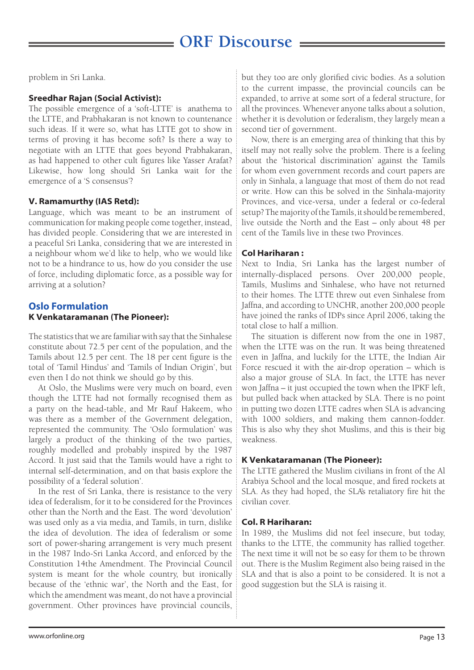problem in Sri Lanka.

#### Sreedhar Rajan (Social Activist):

The possible emergence of a 'soft-LTTE' is anathema to the LTTE, and Prabhakaran is not known to countenance such ideas. If it were so, what has LTTE got to show in terms of proving it has become soft? Is there a way to negotiate with an LTTE that goes beyond Prabhakaran, as had happened to other cult figures like Yasser Arafat? Likewise, how long should Sri Lanka wait for the emergence of a 'S consensus'?

#### V. Ramamurthy (IAS Retd):

Language, which was meant to be an instrument of communication for making people come together, instead, has divided people. Considering that we are interested in a peaceful Sri Lanka, considering that we are interested in a neighbour whom we'd like to help, who we would like not to be a hindrance to us, how do you consider the use of force, including diplomatic force, as a possible way for arriving at a solution?

#### **Oslo Formulation**  K Venkataramanan (The Pioneer):

The statistics that we are familiar with say that the Sinhalese constitute about 72.5 per cent of the population, and the Tamils about 12.5 per cent. The 18 per cent figure is the total of 'Tamil Hindus' and 'Tamils of Indian Origin', but even then I do not think we should go by this.

At Oslo, the Muslims were very much on board, even though the LTTE had not formally recognised them as a party on the head-table, and Mr Rauf Hakeem, who was there as a member of the Government delegation, represented the community. The 'Oslo formulation' was largely a product of the thinking of the two parties, roughly modelled and probably inspired by the 1987 Accord. It just said that the Tamils would have a right to internal self-determination, and on that basis explore the possibility of a 'federal solution'.

In the rest of Sri Lanka, there is resistance to the very idea of federalism, for it to be considered for the Provinces other than the North and the East. The word 'devolution' was used only as a via media, and Tamils, in turn, dislike the idea of devolution. The idea of federalism or some sort of power-sharing arrangement is very much present in the 1987 Indo-Sri Lanka Accord, and enforced by the Constitution 14the Amendment. The Provincial Council system is meant for the whole country, but ironically because of the 'ethnic war', the North and the East, for which the amendment was meant, do not have a provincial government. Other provinces have provincial councils,

but they too are only glorified civic bodies. As a solution to the current impasse, the provincial councils can be expanded, to arrive at some sort of a federal structure, for all the provinces. Whenever anyone talks about a solution, whether it is devolution or federalism, they largely mean a second tier of government.

Now, there is an emerging area of thinking that this by itself may not really solve the problem. There is a feeling about the 'historical discrimination' against the Tamils for whom even government records and court papers are only in Sinhala, a language that most of them do not read or write. How can this be solved in the Sinhala-majority Provinces, and vice-versa, under a federal or co-federal setup? The majority of the Tamils, it should be remembered, live outside the North and the East – only about 48 per cent of the Tamils live in these two Provinces.

#### Col Hariharan :

Next to India, Sri Lanka has the largest number of internally-displaced persons. Over 200,000 people, Tamils, Muslims and Sinhalese, who have not returned to their homes. The LTTE threw out even Sinhalese from Jaffna, and according to UNCHR, another 200,000 people have joined the ranks of IDPs since April 2006, taking the total close to half a million.

The situation is different now from the one in 1987, when the LTTE was on the run. It was being threatened even in Jaffna, and luckily for the LTTE, the Indian Air Force rescued it with the air-drop operation – which is also a major grouse of SLA. In fact, the LTTE has never won Jaffna – it just occupied the town when the IPKF left, but pulled back when attacked by SLA. There is no point in putting two dozen LTTE cadres when SLA is advancing with 1000 soldiers, and making them cannon-fodder. This is also why they shot Muslims, and this is their big weakness.

#### K Venkataramanan (The Pioneer):

The LTTE gathered the Muslim civilians in front of the Al Arabiya School and the local mosque, and fired rockets at SLA. As they had hoped, the SLA's retaliatory fire hit the civilian cover.

#### Col. R Hariharan:

In 1989, the Muslims did not feel insecure, but today, thanks to the LTTE, the community has rallied together. The next time it will not be so easy for them to be thrown out. There is the Muslim Regiment also being raised in the SLA and that is also a point to be considered. It is not a good suggestion but the SLA is raising it.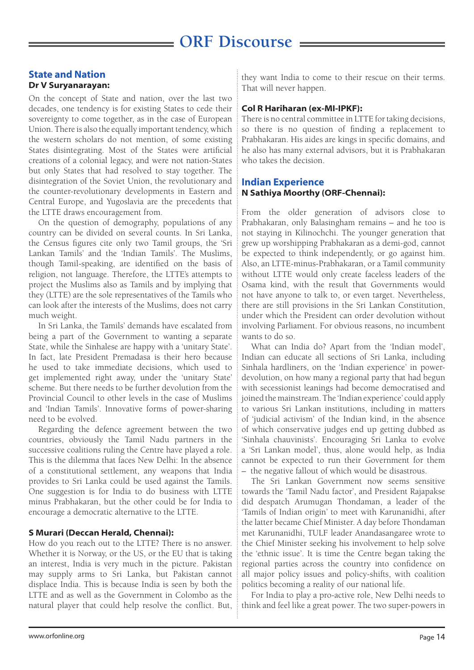#### **State and Nation** Dr V Suryanarayan:

On the concept of State and nation, over the last two decades, one tendency is for existing States to cede their sovereignty to come together, as in the case of European Union. There is also the equally important tendency, which the western scholars do not mention, of some existing States disintegrating. Most of the States were artificial creations of a colonial legacy, and were not nation-States but only States that had resolved to stay together. The disintegration of the Soviet Union, the revolutionary and the counter-revolutionary developments in Eastern and Central Europe, and Yugoslavia are the precedents that the LTTE draws encouragement from.

On the question of demography, populations of any country can be divided on several counts. In Sri Lanka, the Census figures cite only two Tamil groups, the 'Sri Lankan Tamils' and the 'Indian Tamils'. The Muslims, though Tamil-speaking, are identified on the basis of religion, not language. Therefore, the LTTE's attempts to project the Muslims also as Tamils and by implying that they (LTTE) are the sole representatives of the Tamils who can look after the interests of the Muslims, does not carry much weight.

In Sri Lanka, the Tamils' demands have escalated from being a part of the Government to wanting a separate State, while the Sinhalese are happy with a 'unitary State'. In fact, late President Premadasa is their hero because he used to take immediate decisions, which used to get implemented right away, under the 'unitary State' scheme. But there needs to be further devolution from the Provincial Council to other levels in the case of Muslims and 'Indian Tamils'. Innovative forms of power-sharing need to be evolved.

Regarding the defence agreement between the two countries, obviously the Tamil Nadu partners in the successive coalitions ruling the Centre have played a role. This is the dilemma that faces New Delhi: In the absence of a constitutional settlement, any weapons that India provides to Sri Lanka could be used against the Tamils. One suggestion is for India to do business with LTTE minus Prabhakaran, but the other could be for India to encourage a democratic alternative to the LTTE.

#### S Murari (Deccan Herald, Chennai):

How do you reach out to the LTTE? There is no answer. Whether it is Norway, or the US, or the EU that is taking an interest, India is very much in the picture. Pakistan may supply arms to Sri Lanka, but Pakistan cannot displace India. This is because India is seen by both the LTTE and as well as the Government in Colombo as the natural player that could help resolve the conflict. But,

they want India to come to their rescue on their terms. That will never happen.

#### Col R Hariharan (ex-MI-IPKF):

There is no central committee in LTTE for taking decisions, so there is no question of finding a replacement to Prabhakaran. His aides are kings in specific domains, and he also has many external advisors, but it is Prabhakaran who takes the decision.

#### **Indian Experience** N Sathiya Moorthy (ORF-Chennai):

From the older generation of advisors close to Prabhakaran, only Balasingham remains – and he too is not staying in Kilinochchi. The younger generation that grew up worshipping Prabhakaran as a demi-god, cannot be expected to think independently, or go against him. Also, an LTTE-minus-Prabhakaran, or a Tamil community without LTTE would only create faceless leaders of the Osama kind, with the result that Governments would not have anyone to talk to, or even target. Nevertheless, there are still provisions in the Sri Lankan Constitution, under which the President can order devolution without involving Parliament. For obvious reasons, no incumbent wants to do so.

What can India do? Apart from the 'Indian model', Indian can educate all sections of Sri Lanka, including Sinhala hardliners, on the 'Indian experience' in powerdevolution, on how many a regional party that had begun with secessionist leanings had become democratised and joined the mainstream. The 'Indian experience' could apply to various Sri Lankan institutions, including in matters of 'judicial activism' of the Indian kind, in the absence of which conservative judges end up getting dubbed as 'Sinhala chauvinists'. Encouraging Sri Lanka to evolve a 'Sri Lankan model', thus, alone would help, as India cannot be expected to run their Government for them – the negative fallout of which would be disastrous.

The Sri Lankan Government now seems sensitive towards the 'Tamil Nadu factor', and President Rajapakse did despatch Arumugan Thondaman, a leader of the 'Tamils of Indian origin' to meet with Karunanidhi, after the latter became Chief Minister. A day before Thondaman met Karunanidhi, TULF leader Anandasangaree wrote to the Chief Minister seeking his involvement to help solve the 'ethnic issue'. It is time the Centre began taking the regional parties across the country into confidence on all major policy issues and policy-shifts, with coalition politics becoming a reality of our national life.

For India to play a pro-active role, New Delhi needs to think and feel like a great power. The two super-powers in